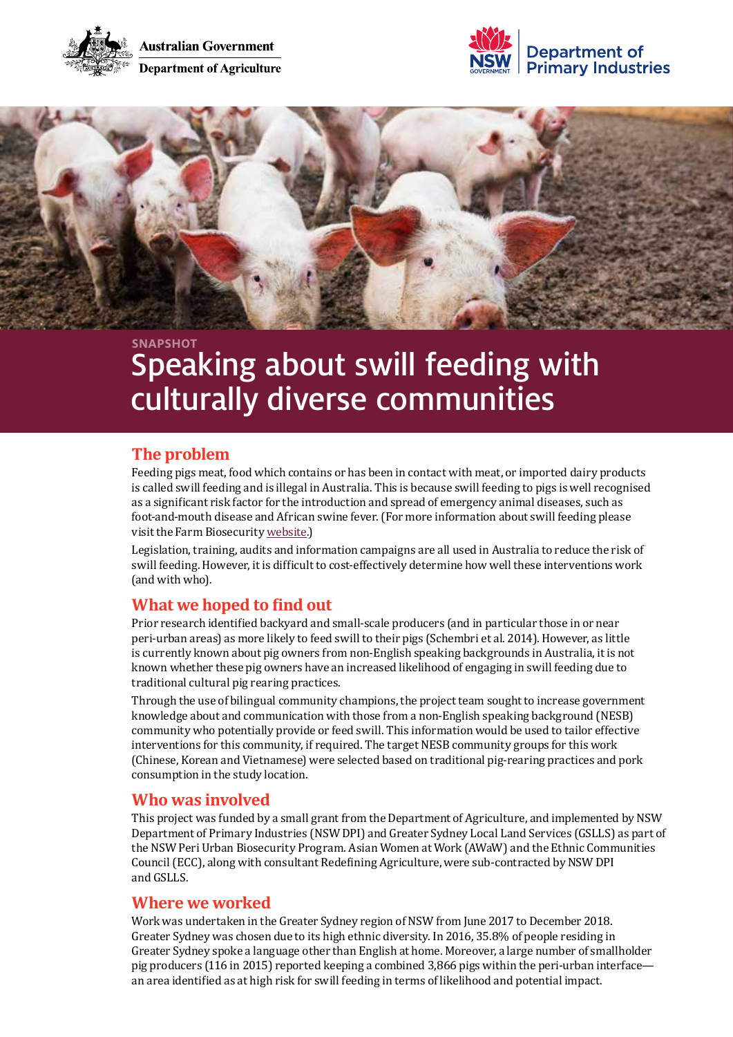





# Speaking about swill feeding with culturally diverse communities **SNAPSHOT**

# **The problem**

Feeding pigs meat, food which contains or has been in contact with meat, or imported dairy products is called swill feeding and is illegal in Australia. This is because swill feeding to pigs is well recognised as a significant risk factor for the introduction and spread of emergency animal diseases, such as foot-and-mouth disease and African swine fever. (For more information about swill feeding please visit the Farm Biosecurity [website](https://www.farmbiosecurity.com.au/livestock/pigs/feeding-your-pigs/).)

Legislation, training, audits and information campaigns are all used in Australia to reduce the risk of swill feeding. However, it is difficult to cost-effectively determine how well these interventions work (and with who).

# **What we hoped to find out**

Prior research identified backyard and small-scale producers (and in particular those in or near peri-urban areas) as more likely to feed swill to their pigs (Schembri et al. 2014). However, as little is currently known about pig owners from non-English speaking backgrounds in Australia, it is not known whether these pig owners have an increased likelihood of engaging in swill feeding due to traditional cultural pig rearing practices.

Through the use of bilingual community champions, the project team sought to increase government knowledge about and communication with those from a non-English speaking background (NESB) community who potentially provide or feed swill. This information would be used to tailor effective interventions for this community, if required. The target NESB community groups for this work (Chinese, Korean and Vietnamese) were selected based on traditional pig-rearing practices and pork consumption in the study location.

## **Who was involved**

This project was funded by a small grant from the Department of Agriculture, and implemented by NSW Department of Primary Industries (NSW DPI) and Greater Sydney Local Land Services (GSLLS) as part of the NSW Peri Urban Biosecurity Program. Asian Women at Work (AWaW) and the Ethnic Communities Council (ECC), along with consultant Redefining Agriculture, were sub-contracted by NSW DPI and GSLLS.

## **Where we worked**

Work was undertaken in the Greater Sydney region of NSW from June 2017 to December 2018. Greater Sydney was chosen due to its high ethnic diversity. In 2016, 35.8% of people residing in Greater Sydney spoke a language other than English at home. Moreover, a large number of smallholder pig producers (116 in 2015) reported keeping a combined 3,866 pigs within the peri-urban interfacean area identified as at high risk for swill feeding in terms of likelihood and potential impact.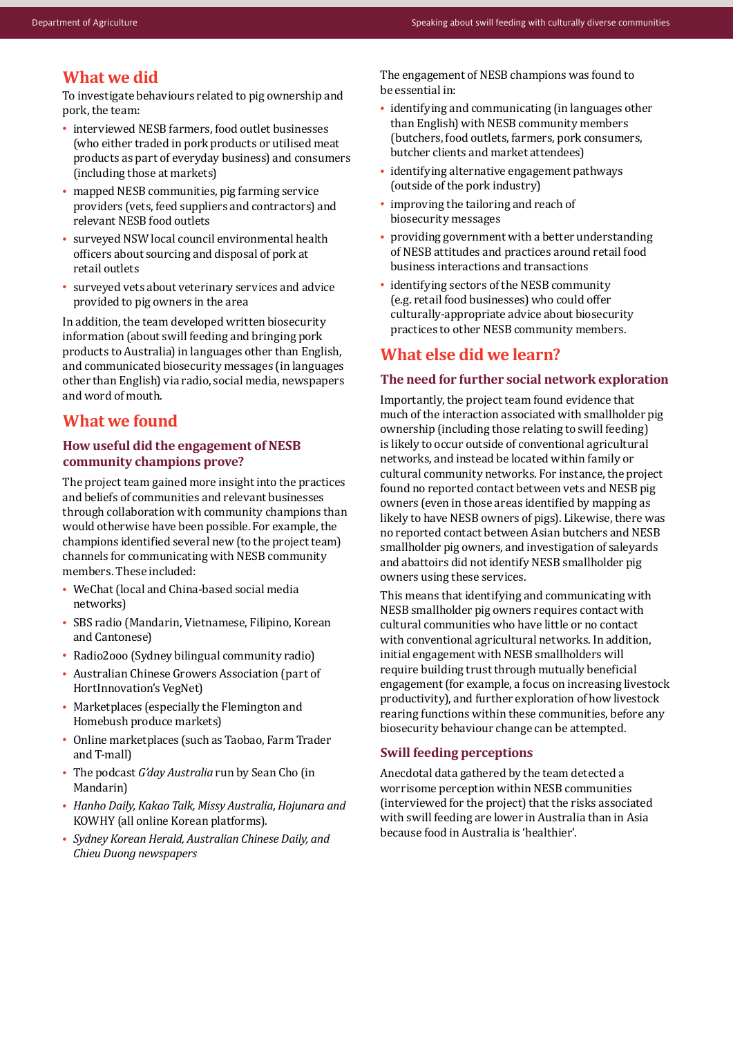## **What we did**

To investigate behaviours related to pig ownership and pork, the team:

- interviewed NESB farmers, food outlet businesses (who either traded in pork products or utilised meat products as part of everyday business) and consumers (including those at markets)
- mapped NESB communities, pig farming service providers (vets, feed suppliers and contractors) and relevant NESB food outlets
- surveyed NSW local council environmental health officers about sourcing and disposal of pork at retail outlets
- surveyed vets about veterinary services and advice provided to pig owners in the area

In addition, the team developed written biosecurity information (about swill feeding and bringing pork products to Australia) in languages other than English, and communicated biosecurity messages (in languages other than English) via radio, social media, newspapers and word of mouth.

## **What we found**

#### **How useful did the engagement of NESB community champions prove?**

The project team gained more insight into the practices and beliefs of communities and relevant businesses through collaboration with community champions than would otherwise have been possible. For example, the champions identified several new (to the project team) channels for communicating with NESB community members. These included:

- WeChat (local and China-based social media networks)
- SBS radio (Mandarin, Vietnamese, Filipino, Korean and Cantonese)
- Radio2ooo (Sydney bilingual community radio)
- Australian Chinese Growers Association (part of HortInnovation's VegNet)
- Marketplaces (especially the Flemington and Homebush produce markets)
- Online marketplaces (such as Taobao, Farm Trader and T-mall)
- The podcast *G'day Australia* run by Sean Cho (in Mandarin)
- *Hanho Daily, Kakao Talk, Missy Australia*, *Hojunara and*  KOWHY (all online Korean platforms).
- *Sydney Korean Herald, Australian Chinese Daily, and Chieu Duong newspapers*

The engagement of NESB champions was found to be essential in:

- identifying and communicating (in languages other than English) with NESB community members (butchers, food outlets, farmers, pork consumers, butcher clients and market attendees)
- identifying alternative engagement pathways (outside of the pork industry)
- improving the tailoring and reach of biosecurity messages
- providing government with a better understanding of NESB attitudes and practices around retail food business interactions and transactions
- identifying sectors of the NESB community (e.g. retail food businesses) who could offer culturally-appropriate advice about biosecurity practices to other NESB community members.

## **What else did we learn?**

#### **The need for further social network exploration**

Importantly, the project team found evidence that much of the interaction associated with smallholder pig ownership (including those relating to swill feeding) is likely to occur outside of conventional agricultural networks, and instead be located within family or cultural community networks. For instance, the project found no reported contact between vets and NESB pig owners (even in those areas identified by mapping as likely to have NESB owners of pigs). Likewise, there was no reported contact between Asian butchers and NESB smallholder pig owners, and investigation of saleyards and abattoirs did not identify NESB smallholder pig owners using these services.

This means that identifying and communicating with NESB smallholder pig owners requires contact with cultural communities who have little or no contact with conventional agricultural networks. In addition, initial engagement with NESB smallholders will require building trust through mutually beneficial engagement (for example, a focus on increasing livestock productivity), and further exploration of how livestock rearing functions within these communities, before any biosecurity behaviour change can be attempted.

#### **Swill feeding perceptions**

Anecdotal data gathered by the team detected a worrisome perception within NESB communities (interviewed for the project) that the risks associated with swill feeding are lower in Australia than in Asia because food in Australia is 'healthier'.